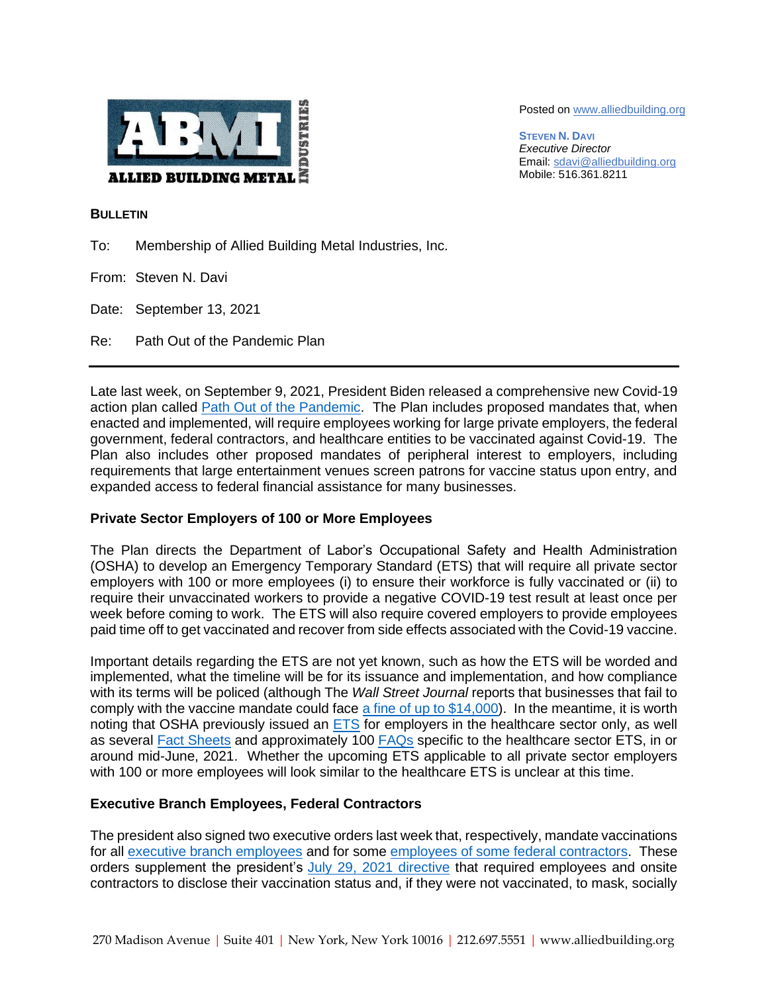

Posted on [www.alliedbuilding.org](http://www.alliedbuilding.org/)

**STEVEN N. DAVI** *Executive Director* Email[: sdavi@alliedbuilding.org](mailto:sdavi@alliedbuilding.org) Mobile: 516.361.8211

### **BULLETIN**

To: Membership of Allied Building Metal Industries, Inc.

From: Steven N. Davi

Date: September 13, 2021

Re: Path Out of the Pandemic Plan

Late last week, on September 9, 2021, President Biden released a comprehensive new Covid-19 action plan called [Path Out of the Pandemic.](https://www.whitehouse.gov/covidplan/) The Plan includes proposed mandates that, when enacted and implemented, will require employees working for large private employers, the federal government, federal contractors, and healthcare entities to be vaccinated against Covid-19. The Plan also includes other proposed mandates of peripheral interest to employers, including requirements that large entertainment venues screen patrons for vaccine status upon entry, and expanded access to federal financial assistance for many businesses.

# **Private Sector Employers of 100 or More Employees**

The Plan directs the Department of Labor's Occupational Safety and Health Administration (OSHA) to develop an Emergency Temporary Standard (ETS) that will require all private sector employers with 100 or more employees (i) to ensure their workforce is fully vaccinated or (ii) to require their unvaccinated workers to provide a negative COVID-19 test result at least once per week before coming to work. The ETS will also require covered employers to provide employees paid time off to get vaccinated and recover from side effects associated with the Covid-19 vaccine.

Important details regarding the ETS are not yet known, such as how the ETS will be worded and implemented, what the timeline will be for its issuance and implementation, and how compliance with its terms will be policed (although The *Wall Street Journal* reports that businesses that fail to comply with the vaccine mandate could face [a fine of up to \\$14,000\)](https://www.wsj.com/articles/biden-to-require-all-federal-workers-government-contractors-to-be-vaccinated-against-covid-19-11631195011). In the meantime, it is worth noting that OSHA previously issued an [ETS](https://www.osha.gov/coronavirus/ets) for employers in the healthcare sector only, as well as several [Fact Sheets](https://www.osha.gov/coronavirus/ets) and approximately 100 [FAQs](https://www.osha.gov/coronavirus/ets/faqs) specific to the healthcare sector ETS, in or around mid-June, 2021. Whether the upcoming ETS applicable to all private sector employers with 100 or more employees will look similar to the healthcare ETS is unclear at this time.

# **Executive Branch Employees, Federal Contractors**

The president also signed two executive orders last week that, respectively, mandate vaccinations for all [executive branch employees](https://www.whitehouse.gov/briefing-room/presidential-actions/2021/09/09/executive-order-on-requiring-coronavirus-disease-2019-vaccination-for-federal-employees/) and for some [employees of some federal contractors.](https://www.whitehouse.gov/briefing-room/presidential-actions/2021/09/09/executive-order-on-ensuring-adequate-covid-safety-protocols-for-federal-contractors/) These orders supplement the president's [July 29, 2021 directive](https://www.whitehouse.gov/briefing-room/statements-releases/2021/07/29/fact-sheet-president-biden-to-announce-new-actions-to-get-more-americans-vaccinated-and-slow-the-spread-of-the-delta-variant/) that required employees and onsite contractors to disclose their vaccination status and, if they were not vaccinated, to mask, socially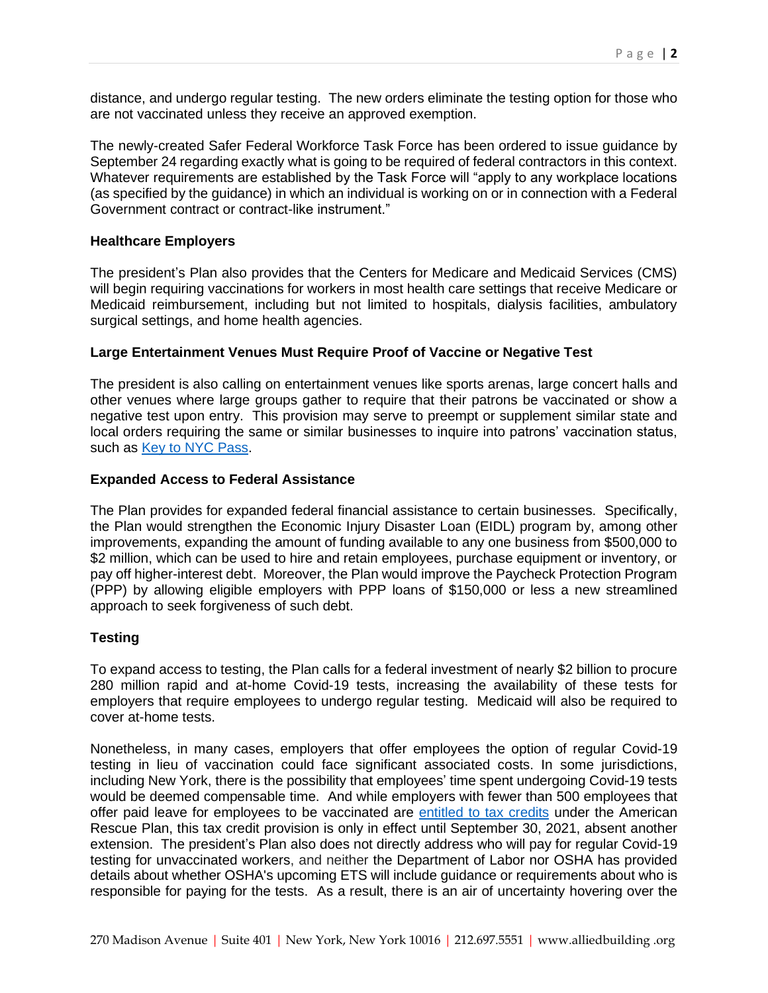distance, and undergo regular testing. The new orders eliminate the testing option for those who are not vaccinated unless they receive an approved exemption.

The newly-created Safer Federal Workforce Task Force has been ordered to issue guidance by September 24 regarding exactly what is going to be required of federal contractors in this context. Whatever requirements are established by the Task Force will "apply to any workplace locations (as specified by the guidance) in which an individual is working on or in connection with a Federal Government contract or contract-like instrument."

# **Healthcare Employers**

The president's Plan also provides that the Centers for Medicare and Medicaid Services (CMS) will begin requiring vaccinations for workers in most health care settings that receive Medicare or Medicaid reimbursement, including but not limited to hospitals, dialysis facilities, ambulatory surgical settings, and home health agencies.

## **Large Entertainment Venues Must Require Proof of Vaccine or Negative Test**

The president is also calling on entertainment venues like sports arenas, large concert halls and other venues where large groups gather to require that their patrons be vaccinated or show a negative test upon entry. This provision may serve to preempt or supplement similar state and local orders requiring the same or similar businesses to inquire into patrons' vaccination status, such as [Key to NYC Pass.](https://www1.nyc.gov/site/doh/covid/covid-19-vaccines-keytonyc.page)

## **Expanded Access to Federal Assistance**

The Plan provides for expanded federal financial assistance to certain businesses. Specifically, the Plan would strengthen the Economic Injury Disaster Loan (EIDL) program by, among other improvements, expanding the amount of funding available to any one business from \$500,000 to \$2 million, which can be used to hire and retain employees, purchase equipment or inventory, or pay off higher-interest debt. Moreover, the Plan would improve the Paycheck Protection Program (PPP) by allowing eligible employers with PPP loans of \$150,000 or less a new streamlined approach to seek forgiveness of such debt.

### **Testing**

To expand access to testing, the Plan calls for a federal investment of nearly \$2 billion to procure 280 million rapid and at-home Covid-19 tests, increasing the availability of these tests for employers that require employees to undergo regular testing. Medicaid will also be required to cover at-home tests.

Nonetheless, in many cases, employers that offer employees the option of regular Covid-19 testing in lieu of vaccination could face significant associated costs. In some jurisdictions, including New York, there is the possibility that employees' time spent undergoing Covid-19 tests would be deemed compensable time. And while employers with fewer than 500 employees that offer paid leave for employees to be vaccinated are [entitled to tax credits](https://www.irs.gov/newsroom/employer-tax-credits-for-employee-paid-leave-due-to-covid-19) under the American Rescue Plan, this tax credit provision is only in effect until September 30, 2021, absent another extension. The president's Plan also does not directly address who will pay for regular Covid-19 testing for unvaccinated workers, and neither the Department of Labor nor OSHA has provided details about whether OSHA's upcoming ETS will include guidance or requirements about who is responsible for paying for the tests. As a result, there is an air of uncertainty hovering over the